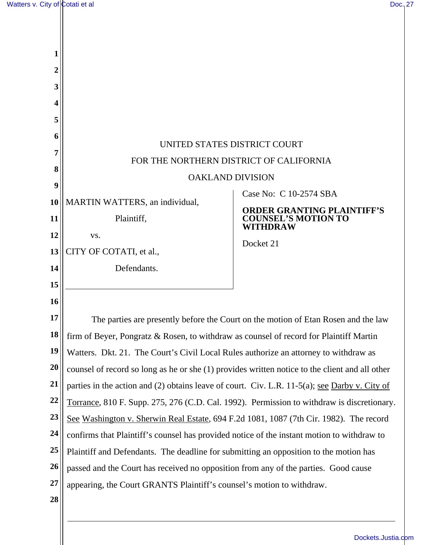| 1                                 |                                                                                                      |                                                                 |  |
|-----------------------------------|------------------------------------------------------------------------------------------------------|-----------------------------------------------------------------|--|
| 2                                 |                                                                                                      |                                                                 |  |
| 3                                 |                                                                                                      |                                                                 |  |
| 4                                 |                                                                                                      |                                                                 |  |
| 5                                 |                                                                                                      |                                                                 |  |
| 6                                 |                                                                                                      |                                                                 |  |
| UNITED STATES DISTRICT COURT<br>7 |                                                                                                      |                                                                 |  |
| 8                                 | FOR THE NORTHERN DISTRICT OF CALIFORNIA                                                              |                                                                 |  |
| 9                                 | <b>OAKLAND DIVISION</b>                                                                              |                                                                 |  |
| 10                                | <b>MARTIN WATTERS</b> , an individual,                                                               | Case No: C 10-2574 SBA                                          |  |
| 11                                | Plaintiff,                                                                                           | <b>ORDER GRANTING PLAINTIFF'S</b><br><b>COUNSEL'S MOTION TO</b> |  |
| 12                                | VS.                                                                                                  | WITHDRAW                                                        |  |
| 13                                | CITY OF COTATI, et al.,                                                                              | Docket 21                                                       |  |
| 14                                | Defendants.                                                                                          |                                                                 |  |
| 15                                |                                                                                                      |                                                                 |  |
| 16                                |                                                                                                      |                                                                 |  |
| 17                                | The parties are presently before the Court on the motion of Etan Rosen and the law                   |                                                                 |  |
| 18                                | firm of Beyer, Pongratz & Rosen, to withdraw as counsel of record for Plaintiff Martin               |                                                                 |  |
| 19                                | Watters. Dkt. 21. The Court's Civil Local Rules authorize an attorney to withdraw as                 |                                                                 |  |
| 20                                | counsel of record so long as he or she (1) provides written notice to the client and all other       |                                                                 |  |
| 21                                | parties in the action and (2) obtains leave of court. Civ. L.R. 11-5(a); <u>see Darby v. City of</u> |                                                                 |  |
| 22                                | Torrance, 810 F. Supp. 275, 276 (C.D. Cal. 1992). Permission to withdraw is discretionary.           |                                                                 |  |
| 23                                | See Washington v. Sherwin Real Estate, 694 F.2d 1081, 1087 (7th Cir. 1982). The record               |                                                                 |  |
| 24                                | confirms that Plaintiff's counsel has provided notice of the instant motion to withdraw to           |                                                                 |  |
| 25                                | Plaintiff and Defendants. The deadline for submitting an opposition to the motion has                |                                                                 |  |
| 26                                | passed and the Court has received no opposition from any of the parties. Good cause                  |                                                                 |  |
| 27                                | appearing, the Court GRANTS Plaintiff's counsel's motion to withdraw.                                |                                                                 |  |
|                                   |                                                                                                      |                                                                 |  |
| 28                                |                                                                                                      |                                                                 |  |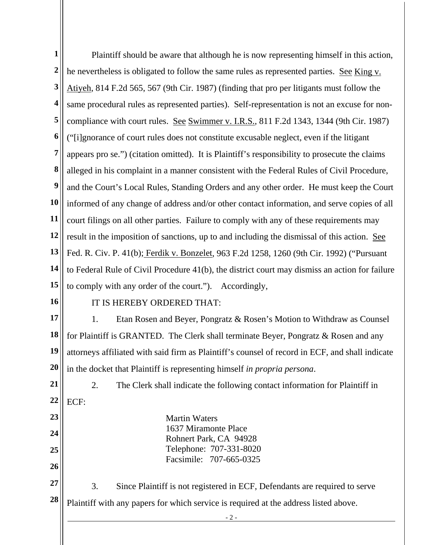- 2 - **1 2 3 4 5 6 7 8 9 10 11 12 13 14 15 16 17 18 19 20 21 22 23 24 25 26 27 28**  Plaintiff should be aware that although he is now representing himself in this action, he nevertheless is obligated to follow the same rules as represented parties. See King v. Atiyeh, 814 F.2d 565, 567 (9th Cir. 1987) (finding that pro per litigants must follow the same procedural rules as represented parties). Self-representation is not an excuse for noncompliance with court rules. See Swimmer v. I.R.S., 811 F.2d 1343, 1344 (9th Cir. 1987) ("[i]gnorance of court rules does not constitute excusable neglect, even if the litigant appears pro se.") (citation omitted). It is Plaintiff's responsibility to prosecute the claims alleged in his complaint in a manner consistent with the Federal Rules of Civil Procedure, and the Court's Local Rules, Standing Orders and any other order. He must keep the Court informed of any change of address and/or other contact information, and serve copies of all court filings on all other parties. Failure to comply with any of these requirements may result in the imposition of sanctions, up to and including the dismissal of this action. See Fed. R. Civ. P. 41(b); Ferdik v. Bonzelet, 963 F.2d 1258, 1260 (9th Cir. 1992) ("Pursuant to Federal Rule of Civil Procedure 41(b), the district court may dismiss an action for failure to comply with any order of the court."). Accordingly, IT IS HEREBY ORDERED THAT: 1. Etan Rosen and Beyer, Pongratz & Rosen's Motion to Withdraw as Counsel for Plaintiff is GRANTED. The Clerk shall terminate Beyer, Pongratz & Rosen and any attorneys affiliated with said firm as Plaintiff's counsel of record in ECF, and shall indicate in the docket that Plaintiff is representing himself *in propria persona*. 2. The Clerk shall indicate the following contact information for Plaintiff in ECF: Martin Waters 1637 Miramonte Place Rohnert Park, CA 94928 Telephone: 707-331-8020 Facsimile: 707-665-0325 3. Since Plaintiff is not registered in ECF, Defendants are required to serve Plaintiff with any papers for which service is required at the address listed above.